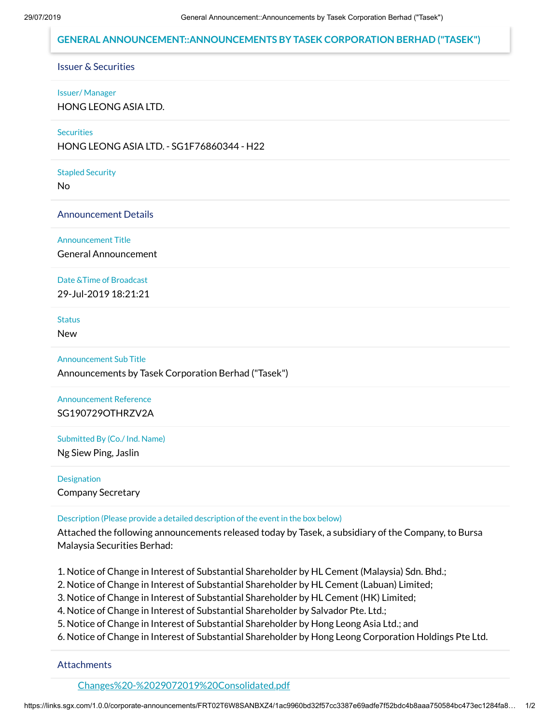### **GENERAL ANNOUNCEMENT::ANNOUNCEMENTS BY TASEK CORPORATION BERHAD ("TASEK")**

### Issuer & Securities

#### Issuer/ Manager

HONG LEONG ASIA LTD.

**Securities** 

HONG LEONG ASIA LTD. - SG1F76860344 - H22

Stapled Security

No

Announcement Details

Announcement Title

General Announcement

Date &Time of Broadcast

29-Jul-2019 18:21:21

**Status** 

New

Announcement Sub Title

Announcements by Tasek Corporation Berhad ("Tasek")

Announcement Reference SG190729OTHRZV2A

Submitted By (Co./ Ind. Name)

Ng Siew Ping, Jaslin

**Designation** 

Company Secretary

Description (Please provide a detailed description of the event in the box below)

Attached the following announcements released today by Tasek, a subsidiary of the Company, to Bursa Malaysia Securities Berhad:

1. Notice of Change in Interest of Substantial Shareholder by HL Cement (Malaysia) Sdn. Bhd.;

2. Notice of Change in Interest of Substantial Shareholder by HL Cement (Labuan) Limited;

3. Notice of Change in Interest of Substantial Shareholder by HL Cement (HK) Limited;

4. Notice of Change in Interest of Substantial Shareholder by Salvador Pte. Ltd.;

5. Notice of Change in Interest of Substantial Shareholder by Hong Leong Asia Ltd.; and

6. Notice of Change in Interest of Substantial Shareholder by Hong Leong Corporation Holdings Pte Ltd.

**Attachments** 

[Changes%20-%2029072019%20Consolidated.pdf](https://links.sgx.com/1.0.0/corporate-announcements/FRT02T6W8SANBXZ4/Changes%20-%2029072019%20Consolidated.pdf)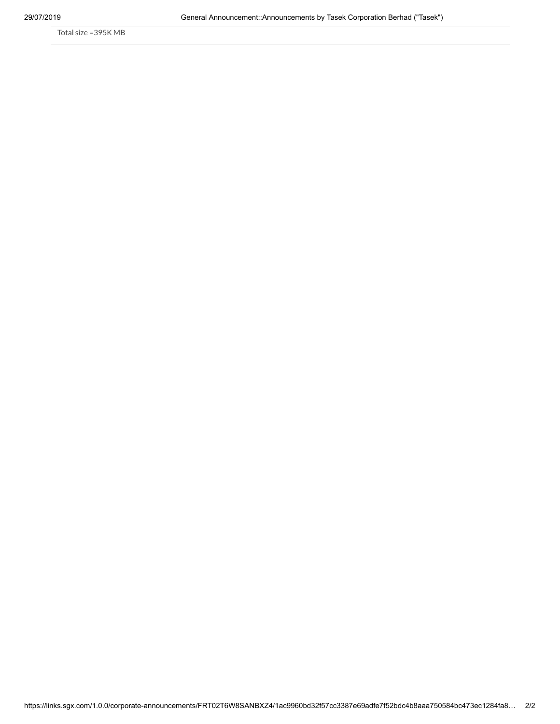Total size =395K MB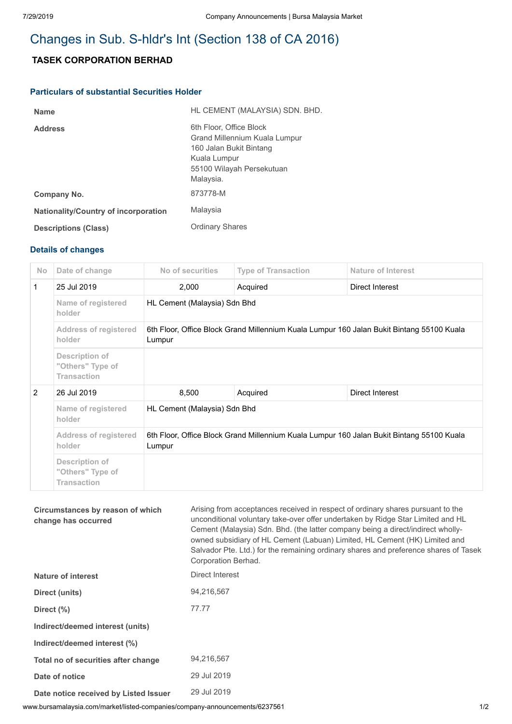## **TASEK CORPORATION BERHAD**

### **Particulars of substantial Securities Holder**

| <b>Name</b>                          | HL CEMENT (MALAYSIA) SDN. BHD.                                                                                                                |
|--------------------------------------|-----------------------------------------------------------------------------------------------------------------------------------------------|
| <b>Address</b>                       | 6th Floor, Office Block<br>Grand Millennium Kuala Lumpur<br>160 Jalan Bukit Bintang<br>Kuala Lumpur<br>55100 Wilayah Persekutuan<br>Malaysia. |
| Company No.                          | 873778-M                                                                                                                                      |
| Nationality/Country of incorporation | Malaysia                                                                                                                                      |
| <b>Descriptions (Class)</b>          | <b>Ordinary Shares</b>                                                                                                                        |

### **Details of changes**

| No.                                                                                                                                           | Date of change                                           | No of securities                                                                                    | <b>Type of Transaction</b> | Nature of Interest |  |
|-----------------------------------------------------------------------------------------------------------------------------------------------|----------------------------------------------------------|-----------------------------------------------------------------------------------------------------|----------------------------|--------------------|--|
| 1                                                                                                                                             | 25 Jul 2019                                              | 2,000                                                                                               | Acquired                   | Direct Interest    |  |
|                                                                                                                                               | Name of registered<br>holder                             | HL Cement (Malaysia) Sdn Bhd                                                                        |                            |                    |  |
|                                                                                                                                               | <b>Address of registered</b><br>holder                   | 6th Floor, Office Block Grand Millennium Kuala Lumpur 160 Jalan Bukit Bintang 55100 Kuala<br>Lumpur |                            |                    |  |
|                                                                                                                                               | Description of<br>"Others" Type of<br><b>Transaction</b> |                                                                                                     |                            |                    |  |
| 2                                                                                                                                             | 26 Jul 2019                                              | 8,500                                                                                               | Acquired                   | Direct Interest    |  |
|                                                                                                                                               | Name of registered<br>holder                             | HL Cement (Malaysia) Sdn Bhd                                                                        |                            |                    |  |
| <b>Address of registered</b><br>6th Floor, Office Block Grand Millennium Kuala Lumpur 160 Jalan Bukit Bintang 55100 Kuala<br>holder<br>Lumpur |                                                          |                                                                                                     |                            |                    |  |
|                                                                                                                                               | Description of<br>"Others" Type of<br><b>Transaction</b> |                                                                                                     |                            |                    |  |

| Circumstances by reason of which<br>change has occurred | Arising from acceptances received in respect of ordinary shares pursuant to the<br>unconditional voluntary take-over offer undertaken by Ridge Star Limited and HL<br>Cement (Malaysia) Sdn. Bhd. (the latter company being a direct/indirect wholly-<br>owned subsidiary of HL Cement (Labuan) Limited, HL Cement (HK) Limited and<br>Salvador Pte. Ltd.) for the remaining ordinary shares and preference shares of Tasek<br>Corporation Berhad. |
|---------------------------------------------------------|----------------------------------------------------------------------------------------------------------------------------------------------------------------------------------------------------------------------------------------------------------------------------------------------------------------------------------------------------------------------------------------------------------------------------------------------------|
| Nature of interest                                      | Direct Interest                                                                                                                                                                                                                                                                                                                                                                                                                                    |
| Direct (units)                                          | 94,216,567                                                                                                                                                                                                                                                                                                                                                                                                                                         |
| Direct $(\%)$                                           | 77.77                                                                                                                                                                                                                                                                                                                                                                                                                                              |
| Indirect/deemed interest (units)                        |                                                                                                                                                                                                                                                                                                                                                                                                                                                    |
| Indirect/deemed interest (%)                            |                                                                                                                                                                                                                                                                                                                                                                                                                                                    |
| Total no of securities after change                     | 94,216,567                                                                                                                                                                                                                                                                                                                                                                                                                                         |
| Date of notice                                          | 29 Jul 2019                                                                                                                                                                                                                                                                                                                                                                                                                                        |
| Date notice received by Listed Issuer                   | 29 Jul 2019                                                                                                                                                                                                                                                                                                                                                                                                                                        |

www.bursamalaysia.com/market/listed-companies/company-announcements/6237561 172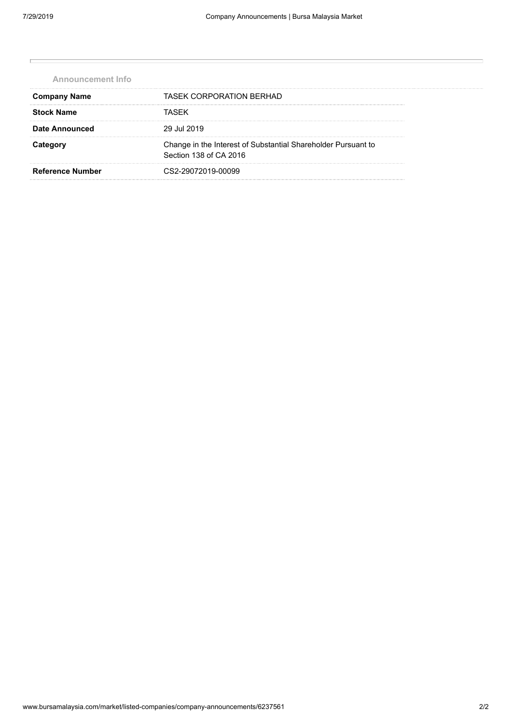| <b>Announcement Info</b> |                                                                                         |  |  |
|--------------------------|-----------------------------------------------------------------------------------------|--|--|
| <b>Company Name</b>      | TASEK CORPORATION BERHAD                                                                |  |  |
| <b>Stock Name</b>        | TASFK                                                                                   |  |  |
| Date Announced           | 29 Jul 2019                                                                             |  |  |
| Category                 | Change in the Interest of Substantial Shareholder Pursuant to<br>Section 138 of CA 2016 |  |  |
| <b>Reference Number</b>  | CS2-29072019-00099                                                                      |  |  |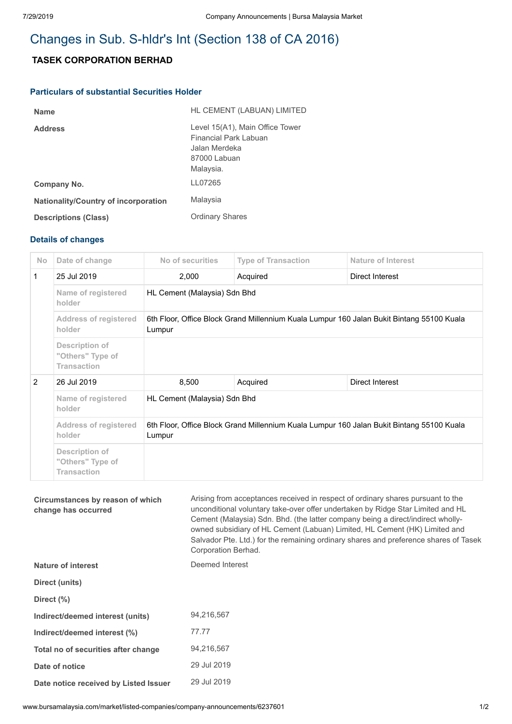## **TASEK CORPORATION BERHAD**

### **Particulars of substantial Securities Holder**

| <b>Name</b>                                 | HL CEMENT (LABUAN) LIMITED                                                                             |
|---------------------------------------------|--------------------------------------------------------------------------------------------------------|
| <b>Address</b>                              | Level 15(A1), Main Office Tower<br>Financial Park Labuan<br>Jalan Merdeka<br>87000 Labuan<br>Malaysia. |
| Company No.                                 | LL07265                                                                                                |
| <b>Nationality/Country of incorporation</b> | Malaysia                                                                                               |
| <b>Descriptions (Class)</b>                 | <b>Ordinary Shares</b>                                                                                 |

### **Details of changes**

| <b>No</b> | Date of change                                           | No of securities                                                                                    | <b>Type of Transaction</b> | Nature of Interest |  |
|-----------|----------------------------------------------------------|-----------------------------------------------------------------------------------------------------|----------------------------|--------------------|--|
| 1         | 25 Jul 2019                                              | 2,000                                                                                               | Acquired                   | Direct Interest    |  |
|           | Name of registered<br>holder                             | HL Cement (Malaysia) Sdn Bhd                                                                        |                            |                    |  |
|           | <b>Address of registered</b><br>holder                   | 6th Floor, Office Block Grand Millennium Kuala Lumpur 160 Jalan Bukit Bintang 55100 Kuala<br>Lumpur |                            |                    |  |
|           | Description of<br>"Others" Type of<br><b>Transaction</b> |                                                                                                     |                            |                    |  |
| 2         | 26 Jul 2019                                              | 8,500                                                                                               | Acquired                   | Direct Interest    |  |
|           | Name of registered<br>holder                             | HL Cement (Malaysia) Sdn Bhd                                                                        |                            |                    |  |
|           | <b>Address of registered</b><br>holder                   | 6th Floor, Office Block Grand Millennium Kuala Lumpur 160 Jalan Bukit Bintang 55100 Kuala<br>Lumpur |                            |                    |  |
|           | Description of<br>"Others" Type of<br><b>Transaction</b> |                                                                                                     |                            |                    |  |

### **Circumstances by reason of which change has occurred**

Arising from acceptances received in respect of ordinary shares pursuant to the unconditional voluntary take-over offer undertaken by Ridge Star Limited and HL Cement (Malaysia) Sdn. Bhd. (the latter company being a direct/indirect whollyowned subsidiary of HL Cement (Labuan) Limited, HL Cement (HK) Limited and Salvador Pte. Ltd.) for the remaining ordinary shares and preference shares of Tasek Corporation Berhad.

| Nature of interest                    | Deemed Interest |
|---------------------------------------|-----------------|
| Direct (units)                        |                 |
| Direct (%)                            |                 |
| Indirect/deemed interest (units)      | 94.216.567      |
| Indirect/deemed interest (%)          | 77.77           |
| Total no of securities after change   | 94.216.567      |
| Date of notice                        | 29 Jul 2019     |
| Date notice received by Listed Issuer | 29 Jul 2019     |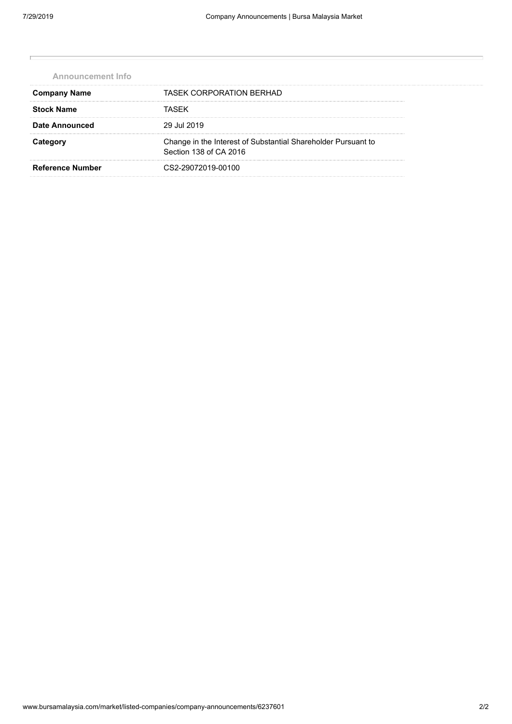| <b>Announcement Info</b> |  |  |
|--------------------------|--|--|
| <b>Company Name</b>      |  |  |
| <b>Stock Name</b>        |  |  |
| Date Announced           |  |  |
|                          |  |  |
| <b>Reference Number</b>  |  |  |
|                          |  |  |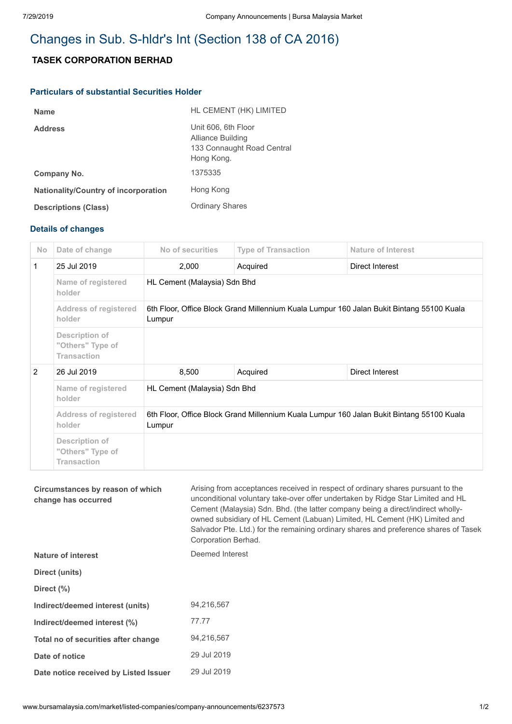## **TASEK CORPORATION BERHAD**

#### **Particulars of substantial Securities Holder**

| HL CEMENT (HK) LIMITED                                                               |
|--------------------------------------------------------------------------------------|
| Unit 606, 6th Floor<br>Alliance Building<br>133 Connaught Road Central<br>Hong Kong. |
| 1375335                                                                              |
| Hong Kong                                                                            |
| <b>Ordinary Shares</b>                                                               |
|                                                                                      |

### **Details of changes**

| No. | Date of change                                           | No of securities                                                                                    | <b>Type of Transaction</b> | Nature of Interest |  |
|-----|----------------------------------------------------------|-----------------------------------------------------------------------------------------------------|----------------------------|--------------------|--|
| 1   | 25 Jul 2019                                              | 2,000                                                                                               | Acquired                   | Direct Interest    |  |
|     | Name of registered<br>holder                             | HL Cement (Malaysia) Sdn Bhd                                                                        |                            |                    |  |
|     | <b>Address of registered</b><br>holder                   | 6th Floor, Office Block Grand Millennium Kuala Lumpur 160 Jalan Bukit Bintang 55100 Kuala<br>Lumpur |                            |                    |  |
|     | Description of<br>"Others" Type of<br><b>Transaction</b> |                                                                                                     |                            |                    |  |
| 2   | 26 Jul 2019                                              | 8,500                                                                                               | Acquired                   | Direct Interest    |  |
|     | Name of registered<br>holder                             | HL Cement (Malaysia) Sdn Bhd                                                                        |                            |                    |  |
|     | <b>Address of registered</b><br>holder                   | 6th Floor, Office Block Grand Millennium Kuala Lumpur 160 Jalan Bukit Bintang 55100 Kuala<br>Lumpur |                            |                    |  |
|     | Description of<br>"Others" Type of<br><b>Transaction</b> |                                                                                                     |                            |                    |  |

#### **Circumstances by reason of which change has occurred**

Arising from acceptances received in respect of ordinary shares pursuant to the unconditional voluntary take-over offer undertaken by Ridge Star Limited and HL Cement (Malaysia) Sdn. Bhd. (the latter company being a direct/indirect whollyowned subsidiary of HL Cement (Labuan) Limited, HL Cement (HK) Limited and Salvador Pte. Ltd.) for the remaining ordinary shares and preference shares of Tasek Corporation Berhad.

| Nature of interest                    | Deemed Interest |  |
|---------------------------------------|-----------------|--|
| Direct (units)                        |                 |  |
| Direct (%)                            |                 |  |
| Indirect/deemed interest (units)      | 94.216.567      |  |
| Indirect/deemed interest (%)          | 77.77           |  |
| Total no of securities after change   | 94.216.567      |  |
| Date of notice                        | 29 Jul 2019     |  |
| Date notice received by Listed Issuer | 29 Jul 2019     |  |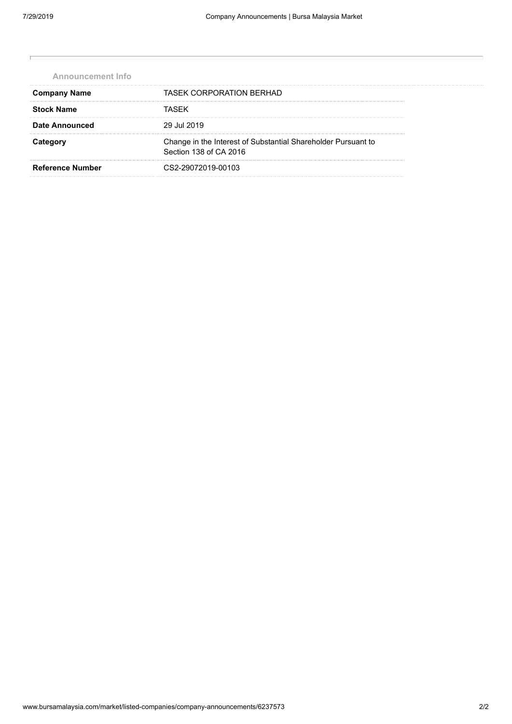| <b>Announcement Info</b> |                                                                                         |  |
|--------------------------|-----------------------------------------------------------------------------------------|--|
| <b>Company Name</b>      | <b>TASEK CORPORATION BERHAD</b>                                                         |  |
| <b>Stock Name</b>        | TASFK                                                                                   |  |
| Date Announced           | 29 Jul 2019                                                                             |  |
|                          | Change in the Interest of Substantial Shareholder Pursuant to<br>Section 138 of CA 2016 |  |
| Reference Number         | CS2-29072019-00103                                                                      |  |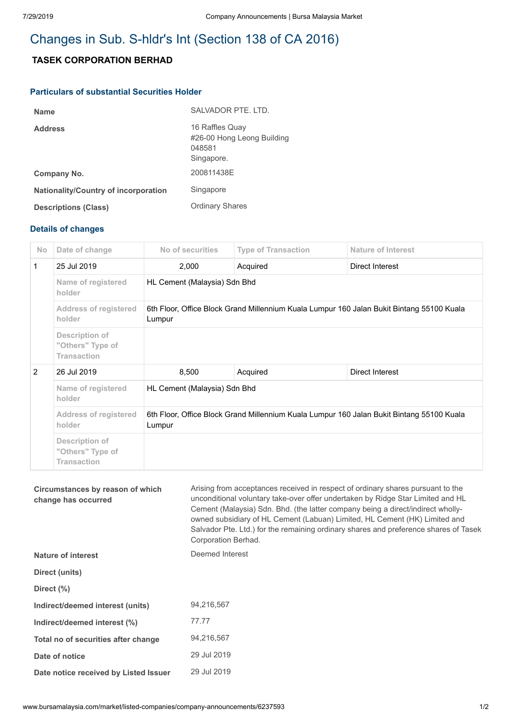## **TASEK CORPORATION BERHAD**

### **Particulars of substantial Securities Holder**

| <b>Name</b>                                 | SALVADOR PTE, LTD.                                                    |
|---------------------------------------------|-----------------------------------------------------------------------|
| <b>Address</b>                              | 16 Raffles Quay<br>#26-00 Hong Leong Building<br>048581<br>Singapore. |
| Company No.                                 | 200811438E                                                            |
| <b>Nationality/Country of incorporation</b> | Singapore                                                             |
| <b>Descriptions (Class)</b>                 | <b>Ordinary Shares</b>                                                |

### **Details of changes**

| <b>No</b> | Date of change                                           | No of securities                                                                                    | <b>Type of Transaction</b> | Nature of Interest |  |
|-----------|----------------------------------------------------------|-----------------------------------------------------------------------------------------------------|----------------------------|--------------------|--|
| 1         | 25 Jul 2019                                              | 2,000                                                                                               | Acquired                   | Direct Interest    |  |
|           | Name of registered<br>holder                             | HL Cement (Malaysia) Sdn Bhd                                                                        |                            |                    |  |
|           | <b>Address of registered</b><br>holder                   | 6th Floor, Office Block Grand Millennium Kuala Lumpur 160 Jalan Bukit Bintang 55100 Kuala<br>Lumpur |                            |                    |  |
|           | Description of<br>"Others" Type of<br><b>Transaction</b> |                                                                                                     |                            |                    |  |
| 2         | 26 Jul 2019                                              | 8,500                                                                                               | Acquired                   | Direct Interest    |  |
|           | Name of registered<br>holder                             | HL Cement (Malaysia) Sdn Bhd                                                                        |                            |                    |  |
|           | <b>Address of registered</b><br>holder                   | 6th Floor, Office Block Grand Millennium Kuala Lumpur 160 Jalan Bukit Bintang 55100 Kuala<br>Lumpur |                            |                    |  |
|           | Description of<br>"Others" Type of<br><b>Transaction</b> |                                                                                                     |                            |                    |  |

#### **Circumstances by reason of which change has occurred**

Arising from acceptances received in respect of ordinary shares pursuant to the unconditional voluntary take-over offer undertaken by Ridge Star Limited and HL Cement (Malaysia) Sdn. Bhd. (the latter company being a direct/indirect whollyowned subsidiary of HL Cement (Labuan) Limited, HL Cement (HK) Limited and Salvador Pte. Ltd.) for the remaining ordinary shares and preference shares of Tasek Corporation Berhad.

| Nature of interest                    | Deemed Interest |  |
|---------------------------------------|-----------------|--|
| Direct (units)                        |                 |  |
| Direct (%)                            |                 |  |
| Indirect/deemed interest (units)      | 94.216.567      |  |
| Indirect/deemed interest (%)          | 77.77           |  |
| Total no of securities after change   | 94.216.567      |  |
| Date of notice                        | 29 Jul 2019     |  |
| Date notice received by Listed Issuer | 29 Jul 2019     |  |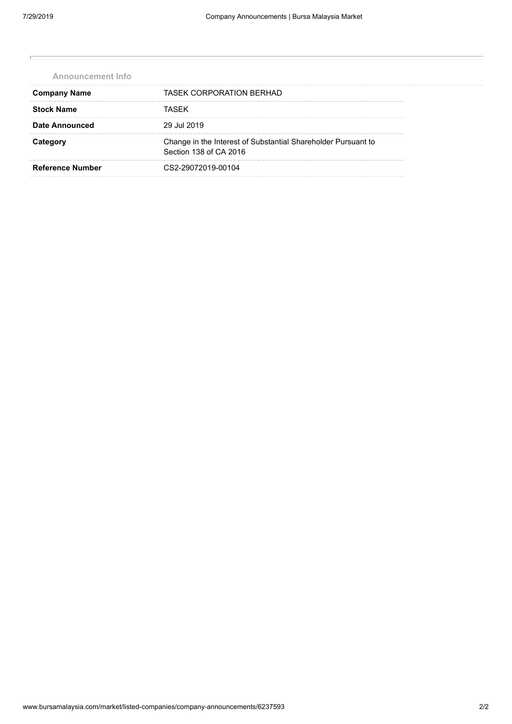| <b>Announcement Info</b> |                                                                                         |
|--------------------------|-----------------------------------------------------------------------------------------|
| <b>Company Name</b>      | TASEK CORPORATION BERHAD                                                                |
| <b>Stock Name</b>        | TASFK                                                                                   |
| Date Announced           | 29 Jul 2019                                                                             |
|                          | Change in the Interest of Substantial Shareholder Pursuant to<br>Section 138 of CA 2016 |
| <b>Reference Number</b>  | CS2-29072019-00104                                                                      |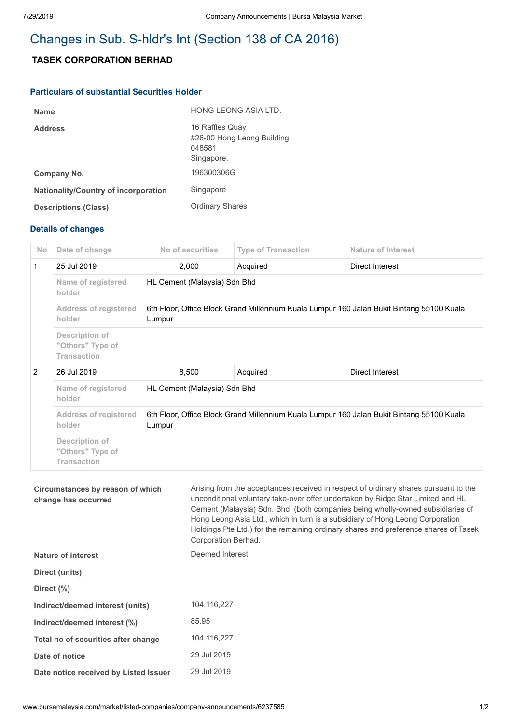## **TASEK CORPORATION BERHAD**

### **Particulars of substantial Securities Holder**

| <b>Name</b>                                 | <b>HONG LEONG ASIA LTD.</b>                                           |
|---------------------------------------------|-----------------------------------------------------------------------|
| <b>Address</b>                              | 16 Raffles Quay<br>#26-00 Hong Leong Building<br>048581<br>Singapore. |
| Company No.                                 | 196300306G                                                            |
| <b>Nationality/Country of incorporation</b> | Singapore                                                             |
| <b>Descriptions (Class)</b>                 | <b>Ordinary Shares</b>                                                |

### **Details of changes**

| No | Date of change                                           | No of securities                                                                                    | <b>Type of Transaction</b> | <b>Nature of Interest</b> |
|----|----------------------------------------------------------|-----------------------------------------------------------------------------------------------------|----------------------------|---------------------------|
| 1  | 25 Jul 2019                                              | 2,000                                                                                               | Acquired                   | Direct Interest           |
|    | Name of registered<br>holder                             | HL Cement (Malaysia) Sdn Bhd                                                                        |                            |                           |
|    | <b>Address of registered</b><br>holder                   | 6th Floor, Office Block Grand Millennium Kuala Lumpur 160 Jalan Bukit Bintang 55100 Kuala<br>Lumpur |                            |                           |
|    | Description of<br>"Others" Type of<br><b>Transaction</b> |                                                                                                     |                            |                           |
| 2  | 26 Jul 2019                                              | 8,500                                                                                               | Acquired                   | Direct Interest           |
|    | Name of registered<br>holder                             | HL Cement (Malaysia) Sdn Bhd                                                                        |                            |                           |
|    | <b>Address of registered</b><br>holder                   | 6th Floor, Office Block Grand Millennium Kuala Lumpur 160 Jalan Bukit Bintang 55100 Kuala<br>Lumpur |                            |                           |
|    | Description of<br>"Others" Type of<br><b>Transaction</b> |                                                                                                     |                            |                           |

#### **Circumstances by reason of which change has occurred**

Arising from the acceptances received in respect of ordinary shares pursuant to the unconditional voluntary take-over offer undertaken by Ridge Star Limited and HL Cement (Malaysia) Sdn. Bhd. (both companies being wholly-owned subsidiaries of Hong Leong Asia Ltd., which in turn is a subsidiary of Hong Leong Corporation Holdings Pte Ltd.) for the remaining ordinary shares and preference shares of Tasek Corporation Berhad.

| Nature of interest                    | Deemed Interest |  |
|---------------------------------------|-----------------|--|
| Direct (units)                        |                 |  |
| Direct (%)                            |                 |  |
| Indirect/deemed interest (units)      | 104.116.227     |  |
| Indirect/deemed interest (%)          | 85.95           |  |
| Total no of securities after change   | 104.116.227     |  |
| Date of notice                        | 29 Jul 2019     |  |
| Date notice received by Listed Issuer | 29 Jul 2019     |  |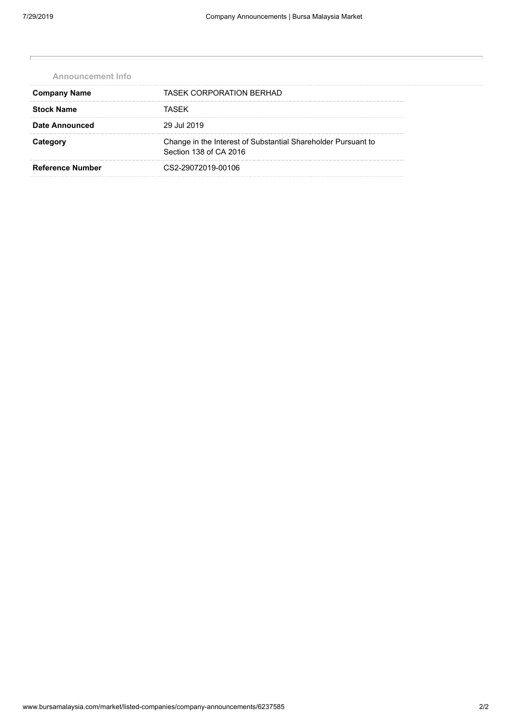| TASEK CORPORATION BERHAD                                                                |
|-----------------------------------------------------------------------------------------|
| TASFK                                                                                   |
| 29 Jul 2019                                                                             |
| Change in the Interest of Substantial Shareholder Pursuant to<br>Section 138 of CA 2016 |
| CS2-29072019-00106                                                                      |
|                                                                                         |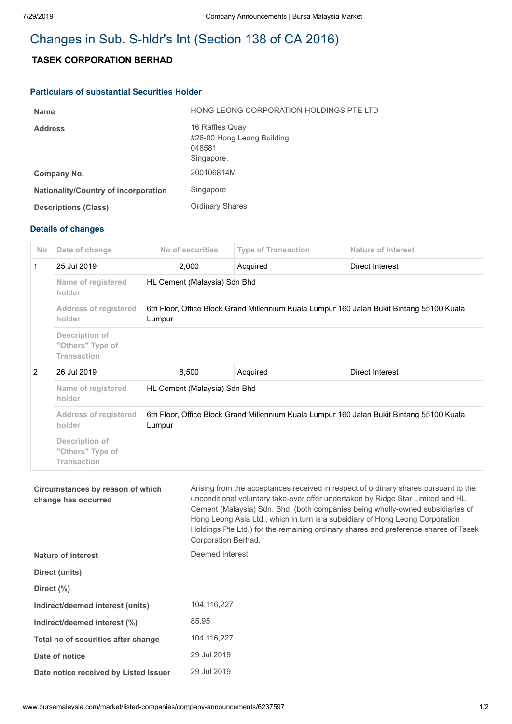## **TASEK CORPORATION BERHAD**

### **Particulars of substantial Securities Holder**

| <b>Name</b>                          | HONG LEONG CORPORATION HOLDINGS PTE LTD                               |
|--------------------------------------|-----------------------------------------------------------------------|
| <b>Address</b>                       | 16 Raffles Quay<br>#26-00 Hong Leong Building<br>048581<br>Singapore. |
| Company No.                          | 200106814M                                                            |
| Nationality/Country of incorporation | Singapore                                                             |
| <b>Descriptions (Class)</b>          | <b>Ordinary Shares</b>                                                |

### **Details of changes**

| <b>No</b> | Date of change                                           | No of securities                                                                                    | <b>Type of Transaction</b> | Nature of Interest |
|-----------|----------------------------------------------------------|-----------------------------------------------------------------------------------------------------|----------------------------|--------------------|
| 1         | 25 Jul 2019                                              | 2,000                                                                                               | Acquired                   | Direct Interest    |
|           | Name of registered<br>holder                             | HL Cement (Malaysia) Sdn Bhd                                                                        |                            |                    |
|           | <b>Address of registered</b><br>holder                   | 6th Floor, Office Block Grand Millennium Kuala Lumpur 160 Jalan Bukit Bintang 55100 Kuala<br>Lumpur |                            |                    |
|           | Description of<br>"Others" Type of<br><b>Transaction</b> |                                                                                                     |                            |                    |
| 2         | 26 Jul 2019                                              | 8,500                                                                                               | Acquired                   | Direct Interest    |
|           | Name of registered<br>holder                             | HL Cement (Malaysia) Sdn Bhd                                                                        |                            |                    |
|           | <b>Address of registered</b><br>holder                   | 6th Floor, Office Block Grand Millennium Kuala Lumpur 160 Jalan Bukit Bintang 55100 Kuala<br>Lumpur |                            |                    |
|           | Description of<br>"Others" Type of<br><b>Transaction</b> |                                                                                                     |                            |                    |

#### **Circumstances by reason of which change has occurred**

Arising from the acceptances received in respect of ordinary shares pursuant to the unconditional voluntary take-over offer undertaken by Ridge Star Limited and HL Cement (Malaysia) Sdn. Bhd. (both companies being wholly-owned subsidiaries of Hong Leong Asia Ltd., which in turn is a subsidiary of Hong Leong Corporation Holdings Pte Ltd.) for the remaining ordinary shares and preference shares of Tasek Corporation Berhad.

| Nature of interest                    | Deemed Interest |  |
|---------------------------------------|-----------------|--|
| Direct (units)                        |                 |  |
| Direct (%)                            |                 |  |
| Indirect/deemed interest (units)      | 104.116.227     |  |
| Indirect/deemed interest (%)          | 85.95           |  |
| Total no of securities after change   | 104.116.227     |  |
| Date of notice                        | 29 Jul 2019     |  |
| Date notice received by Listed Issuer | 29 Jul 2019     |  |